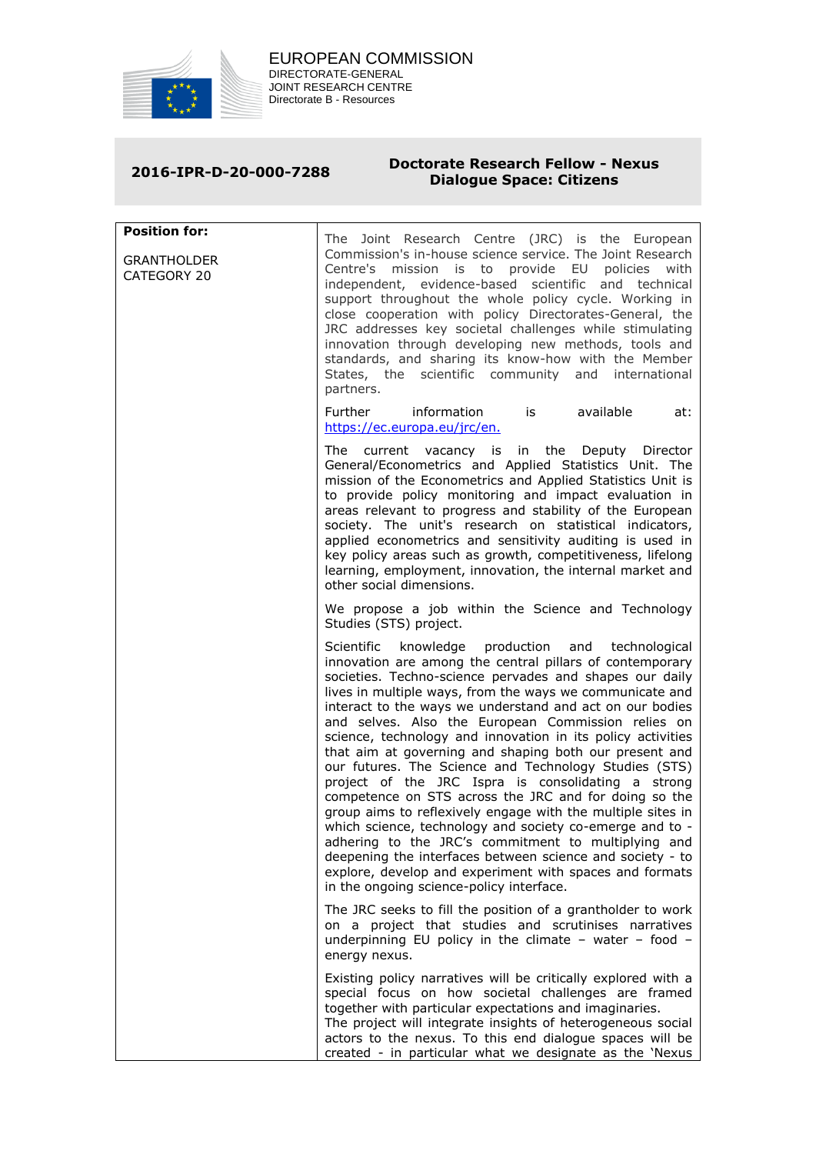

## **2016-IPR-D-20-000-7288 Doctorate Research Fellow - Nexus Dialogue Space: Citizens**

**Position for: GRANTHOLDER** CATEGORY 20 The Joint Research Centre (JRC) is the European Commission's in-house science service. The Joint Research Centre's mission is to provide EU policies with independent, evidence-based scientific and technical support throughout the whole policy cycle. Working in close cooperation with policy Directorates-General, the JRC addresses key societal challenges while stimulating innovation through developing new methods, tools and standards, and sharing its know-how with the Member States, the scientific community and international partners. Further information is available at: [https://ec.europa.eu/jrc/en.](https://ec.europa.eu/jrc/en) The current vacancy is in the Deputy Director General/Econometrics and Applied Statistics Unit. The mission of the Econometrics and Applied Statistics Unit is to provide policy monitoring and impact evaluation in areas relevant to progress and stability of the European society. The unit's research on statistical indicators, applied econometrics and sensitivity auditing is used in key policy areas such as growth, competitiveness, lifelong learning, employment, innovation, the internal market and other social dimensions. We propose a job within the Science and Technology Studies (STS) project. Scientific knowledge production and technological innovation are among the central pillars of contemporary societies. Techno-science pervades and shapes our daily lives in multiple ways, from the ways we communicate and interact to the ways we understand and act on our bodies and selves. Also the European Commission relies on science, technology and innovation in its policy activities that aim at governing and shaping both our present and our futures. The Science and Technology Studies (STS) project of the JRC Ispra is consolidating a strong competence on STS across the JRC and for doing so the group aims to reflexively engage with the multiple sites in which science, technology and society co-emerge and to adhering to the JRC's commitment to multiplying and deepening the interfaces between science and society - to explore, develop and experiment with spaces and formats in the ongoing science-policy interface. The JRC seeks to fill the position of a grantholder to work on a project that studies and scrutinises narratives underpinning EU policy in the climate – water – food – energy nexus. Existing policy narratives will be critically explored with a special focus on how societal challenges are framed together with particular expectations and imaginaries. The project will integrate insights of heterogeneous social actors to the nexus. To this end dialogue spaces will be created - in particular what we designate as the 'Nexus